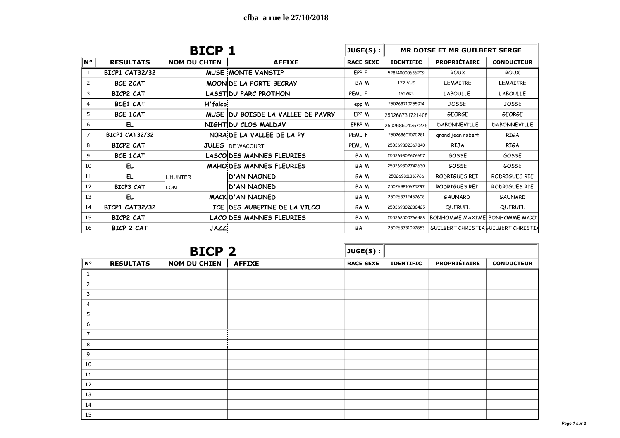|                |                       | <b>BICP 1</b>       |                                                                            | JUGE(S):         | <b>MR DOISE ET MR GUILBERT SERGE</b> |                                     |                     |  |  |
|----------------|-----------------------|---------------------|----------------------------------------------------------------------------|------------------|--------------------------------------|-------------------------------------|---------------------|--|--|
| $N^{\circ}$    | <b>RESULTATS</b>      | <b>NOM DU CHIEN</b> | <b>AFFIXE</b>                                                              | <b>RACE SEXE</b> | <b>IDENTIFIC</b>                     | <b>PROPRIÉTAIRE</b>                 | <b>CONDUCTEUR</b>   |  |  |
|                | <b>BICP1 CAT32/32</b> |                     | <b>MUSE MONTE VANSTIP</b>                                                  | EPP F            | 528140000636209                      | <b>ROUX</b>                         | <b>ROUX</b>         |  |  |
| 2              | <b>BCE 2CAT</b>       |                     | MOON DE LA PORTE BECRAY                                                    | BA M             | <b>177 VUS</b>                       | LEMAITRE                            | <b>LEMAITRE</b>     |  |  |
| 3              | <b>BICP2 CAT</b>      |                     | <b>LASST DU PARC PROTHON</b>                                               | PEML F           | 161 GKL                              | <b>LABOULLE</b>                     | <b>LABOULLE</b>     |  |  |
| 4              | <b>BCE1 CAT</b>       | H'falco             |                                                                            | epp M            | 250268710255914                      | JOSSE                               | JOSSE               |  |  |
| 5              | <b>BCE 1CAT</b>       |                     | MUSE DU BOISDE LA VALLEE DE PAVRY                                          | EPP M            | 250268731721408                      | <b>GEORGE</b>                       | <b>GEORGE</b>       |  |  |
| 6              | EL                    |                     | NIGHT DU CLOS MALDAV                                                       | EPBP M           | 250268501257275                      | <b>DABONNEVILLE</b>                 | <b>DABONNEVILLE</b> |  |  |
| $\overline{7}$ | <b>BICP1 CAT32/32</b> |                     | NORA DE LA VALLEE DE LA PY                                                 | PEML f           | 250268601070281                      | grand jean robert                   | <b>RIGA</b>         |  |  |
| 8              | BICP2 CAT             |                     | <b>JULES</b> DE WACOURT                                                    | PEML M           | 250269802367840                      | RIJA                                | <b>RIGA</b>         |  |  |
| 9              | <b>BCE 1CAT</b>       |                     | <b>LASCO DES MANNES FLEURIES</b><br>GOSSE<br><b>BAM</b><br>250269802676657 |                  |                                      | GOSSE                               |                     |  |  |
| 10             | EL.                   |                     | <b>MAHO DES MANNES FLEURIES</b>                                            | BA M             | 250269802742630                      | GOSSE                               | GOSSE               |  |  |
| 11             | EL                    | <b>L'HUNTER</b>     | D'AN NAONED!                                                               | BA M             | 250269811316766                      | RODRIGUES REI                       | RODRIGUES RIE       |  |  |
| 12             | BICP3 CAT             | LOKI                | D'AN NAONED                                                                | BA M             | 250269810675297                      | RODRIGUES REI                       | RODRIGUES RIE       |  |  |
| 13             | EL                    |                     | <b>MACKID'AN NAONED</b>                                                    | BA M             | 250268712457608                      | <b>GAUNARD</b>                      | <b>GAUNARD</b>      |  |  |
| 14             | <b>BICP1 CAT32/32</b> |                     | ICE DES AUBEPINE DE LA VILCO                                               | BA M             | 250269802230425                      | QUERUEL                             | QUERUEL             |  |  |
| 15             | BICP2 CAT             |                     | <b>LACO DES MANNES FLEURIES</b>                                            | <b>BAM</b>       | 250268500766488                      | IBONHOMME MAXIMEI BONHOMME MAXI     |                     |  |  |
| 16             | BICP 2 CAT            | <b>JAZZ</b>         |                                                                            | <b>BA</b>        | 250268731097853                      | GUILBERT CHRISTIA BUILBERT CHRISTIA |                     |  |  |

|                |                  | <b>BICP 2</b>       |               | JUGE(S) :        |                  |                     |                   |
|----------------|------------------|---------------------|---------------|------------------|------------------|---------------------|-------------------|
| $N^{\circ}$    | <b>RESULTATS</b> | <b>NOM DU CHIEN</b> | <b>AFFIXE</b> | <b>RACE SEXE</b> | <b>IDENTIFIC</b> | <b>PROPRIÉTAIRE</b> | <b>CONDUCTEUR</b> |
| $\mathbf{1}$   |                  |                     |               |                  |                  |                     |                   |
| $\overline{2}$ |                  |                     |               |                  |                  |                     |                   |
| 3              |                  |                     |               |                  |                  |                     |                   |
| 4              |                  |                     |               |                  |                  |                     |                   |
| 5              |                  |                     |               |                  |                  |                     |                   |
| 6              |                  |                     |               |                  |                  |                     |                   |
| $\overline{7}$ |                  |                     |               |                  |                  |                     |                   |
| 8              |                  |                     |               |                  |                  |                     |                   |
| 9              |                  |                     |               |                  |                  |                     |                   |
| 10             |                  |                     |               |                  |                  |                     |                   |
| 11             |                  |                     |               |                  |                  |                     |                   |
| 12             |                  |                     |               |                  |                  |                     |                   |
| 13             |                  |                     |               |                  |                  |                     |                   |
| 14             |                  |                     |               |                  |                  |                     |                   |
| 15             |                  |                     |               |                  |                  |                     |                   |